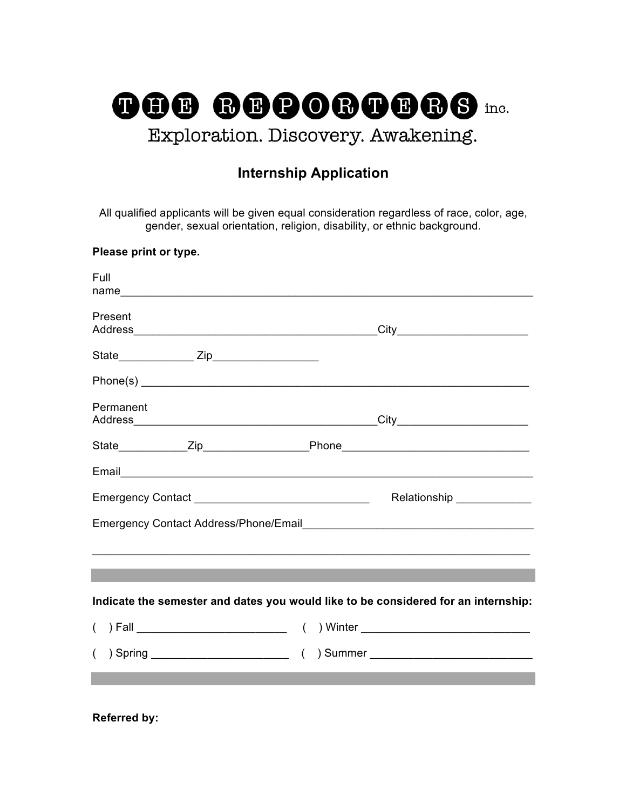

# **Internship Application**

All qualified applicants will be given equal consideration regardless of race, color, age, gender, sexual orientation, religion, disability, or ethnic background.

#### **Please print or type.**

| Full      |                                                                                    |
|-----------|------------------------------------------------------------------------------------|
| Present   |                                                                                    |
|           |                                                                                    |
|           |                                                                                    |
| Permanent |                                                                                    |
|           |                                                                                    |
|           |                                                                                    |
|           | Relationship ______________                                                        |
|           | Emergency Contact Address/Phone/Email<br>Languary 2008                             |
|           |                                                                                    |
|           |                                                                                    |
|           | Indicate the semester and dates you would like to be considered for an internship: |
|           |                                                                                    |
|           |                                                                                    |
|           |                                                                                    |

**Referred by:**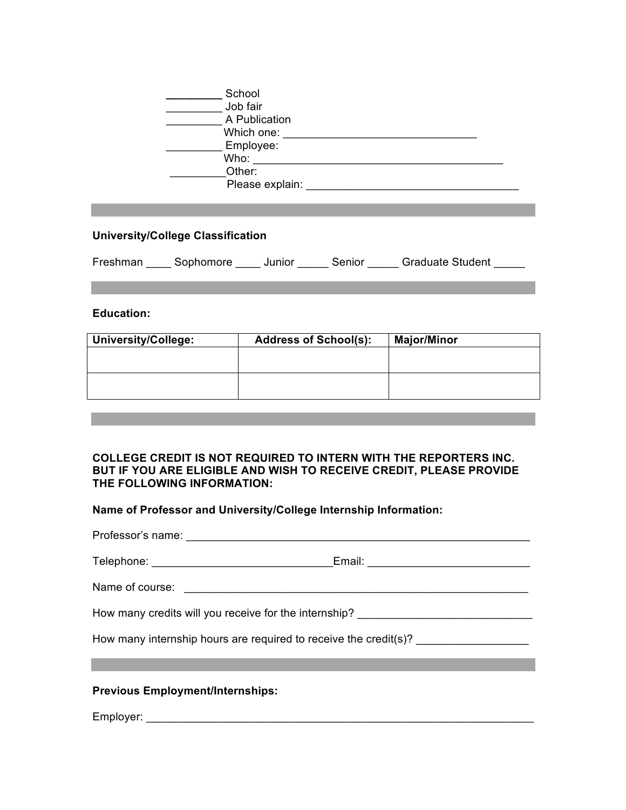| School     |                 |
|------------|-----------------|
| Job fair   |                 |
|            | A Publication   |
| Which one: |                 |
| Employee:  |                 |
| Who:       |                 |
| Other:     |                 |
|            | Please explain: |

### **University/College Classification**

| Freshman | Sophomore | Junior | Senior | <b>Graduate Student</b> |
|----------|-----------|--------|--------|-------------------------|
|----------|-----------|--------|--------|-------------------------|

#### **Education:**

| <b>University/College:</b> | <b>Address of School(s):</b> | <b>Major/Minor</b> |
|----------------------------|------------------------------|--------------------|
|                            |                              |                    |
|                            |                              |                    |
|                            |                              |                    |
|                            |                              |                    |

#### **COLLEGE CREDIT IS NOT REQUIRED TO INTERN WITH THE REPORTERS INC. BUT IF YOU ARE ELIGIBLE AND WISH TO RECEIVE CREDIT, PLEASE PROVIDE THE FOLLOWING INFORMATION:**

**Name of Professor and University/College Internship Information:**

| How many credits will you receive for the internship? __________________________ |  |
|----------------------------------------------------------------------------------|--|
| How many internship hours are required to receive the credit(s)?                 |  |
|                                                                                  |  |

## **Previous Employment/Internships:**

Employer: \_\_\_\_\_\_\_\_\_\_\_\_\_\_\_\_\_\_\_\_\_\_\_\_\_\_\_\_\_\_\_\_\_\_\_\_\_\_\_\_\_\_\_\_\_\_\_\_\_\_\_\_\_\_\_\_\_\_\_\_\_\_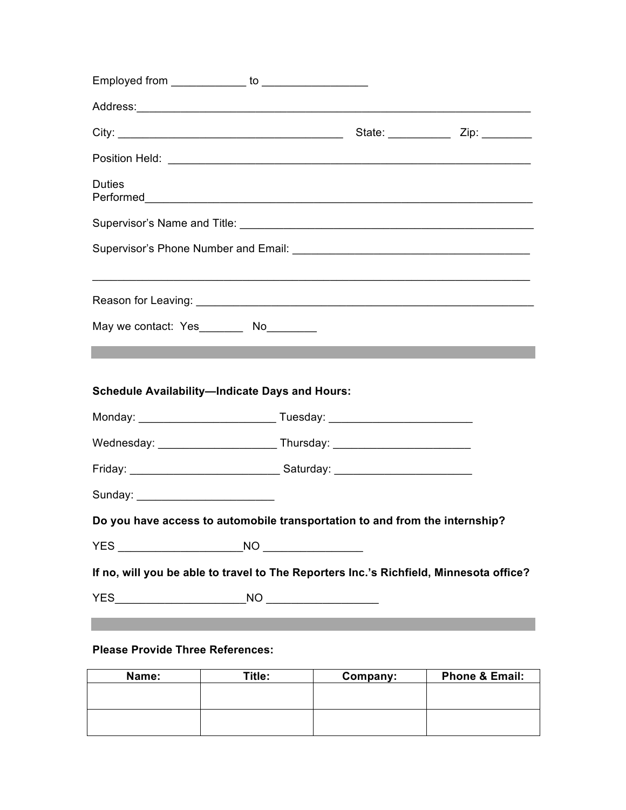| <b>Duties</b>                                                                          |  |  |
|----------------------------------------------------------------------------------------|--|--|
|                                                                                        |  |  |
|                                                                                        |  |  |
|                                                                                        |  |  |
| May we contact: Yes_________ No_________                                               |  |  |
| <b>Schedule Availability-Indicate Days and Hours:</b>                                  |  |  |
|                                                                                        |  |  |
|                                                                                        |  |  |
|                                                                                        |  |  |
| Sunday: __________________________                                                     |  |  |
| Do you have access to automobile transportation to and from the internship?            |  |  |
|                                                                                        |  |  |
| If no, will you be able to travel to The Reporters Inc.'s Richfield, Minnesota office? |  |  |
|                                                                                        |  |  |
|                                                                                        |  |  |
|                                                                                        |  |  |

# **Please Provide Three References:**

| Name: | Title: | Company: | <b>Phone &amp; Email:</b> |
|-------|--------|----------|---------------------------|
|       |        |          |                           |
|       |        |          |                           |
|       |        |          |                           |
|       |        |          |                           |